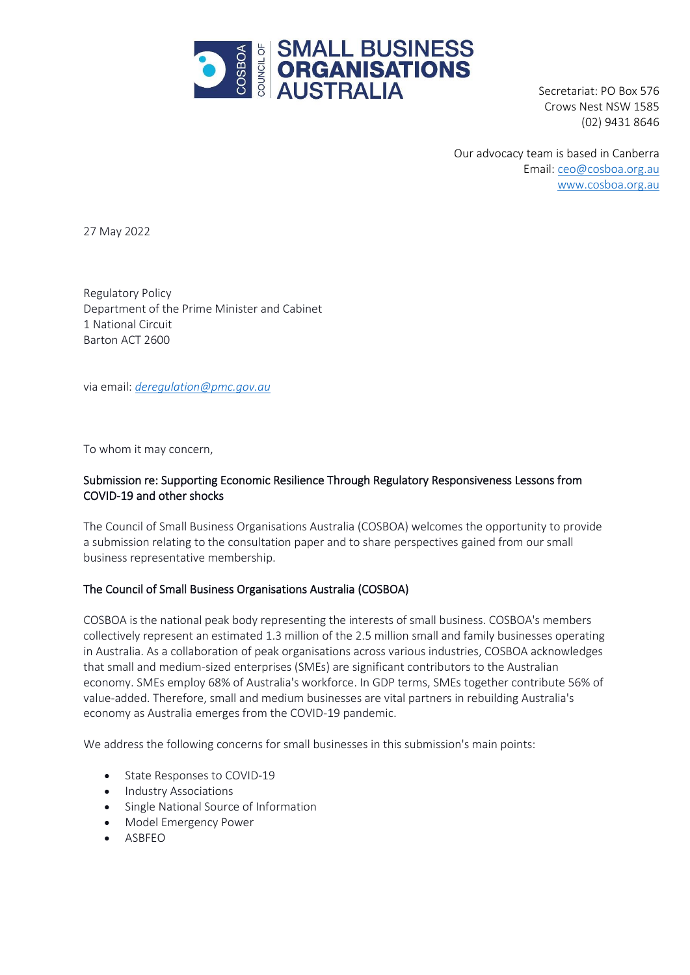

Secretariat: PO Box 576 Crows Nest NSW 1585 (02) 9431 8646

Our advocacy team is based in Canberra Email: [ceo@cosboa.org.au](mailto:alexi@cosboa.org.au) [www.cosboa.org.au](http://www.cosboa.org.au/)

27 May 2022

Regulatory Policy Department of the Prime Minister and Cabinet 1 National Circuit Barton ACT 2600

via email: *[deregulation@pmc.gov.au](mailto:deregulation@pmc.gov.au)*

To whom it may concern,

# Submission re: Supporting Economic Resilience Through Regulatory Responsiveness Lessons from COVID-19 and other shocks

The Council of Small Business Organisations Australia (COSBOA) welcomes the opportunity to provide a submission relating to the consultation paper and to share perspectives gained from our small business representative membership.

### The Council of Small Business Organisations Australia (COSBOA)

COSBOA is the national peak body representing the interests of small business. COSBOA's members collectively represent an estimated 1.3 million of the 2.5 million small and family businesses operating in Australia. As a collaboration of peak organisations across various industries, COSBOA acknowledges that small and medium-sized enterprises (SMEs) are significant contributors to the Australian economy. SMEs employ 68% of Australia's workforce. In GDP terms, SMEs together contribute 56% of value-added. Therefore, small and medium businesses are vital partners in rebuilding Australia's economy as Australia emerges from the COVID-19 pandemic.

We address the following concerns for small businesses in this submission's main points:

- State Responses to COVID-19
- Industry Associations
- Single National Source of Information
- Model Emergency Power
- ASBFEO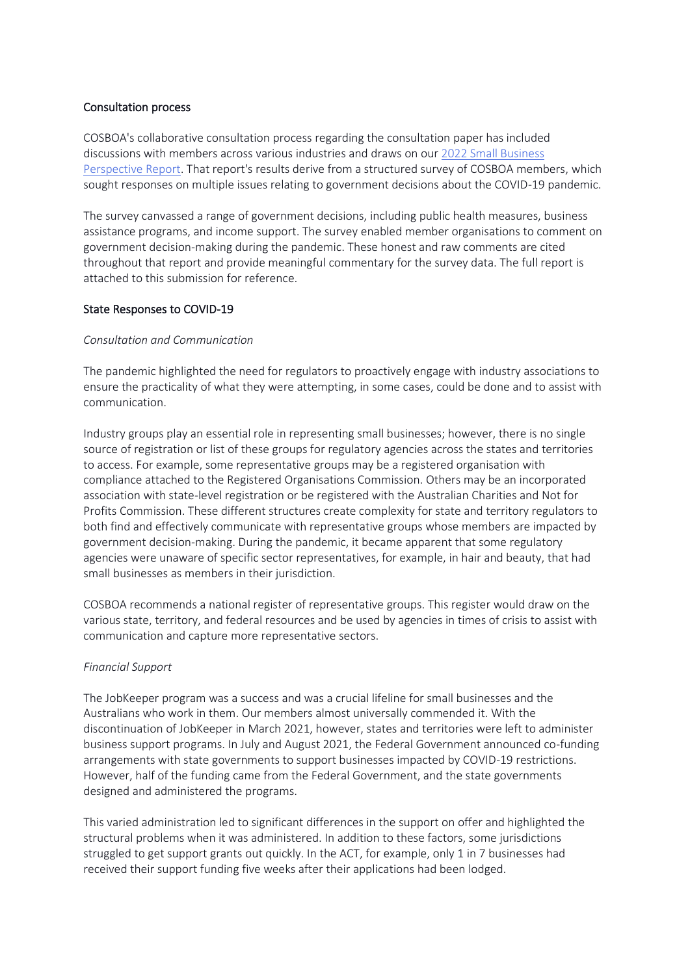### Consultation process

COSBOA's collaborative consultation process regarding the consultation paper has included discussions with members across various industries and draws on our [2022 Small Business](https://www.cosboa.org.au/_files/ugd/c7ffff_cf1f17a2e53d42248ed369c173d8e820.pdf)  [Perspective Report.](https://www.cosboa.org.au/_files/ugd/c7ffff_cf1f17a2e53d42248ed369c173d8e820.pdf) That report's results derive from a structured survey of COSBOA members, which sought responses on multiple issues relating to government decisions about the COVID-19 pandemic.

The survey canvassed a range of government decisions, including public health measures, business assistance programs, and income support. The survey enabled member organisations to comment on government decision-making during the pandemic. These honest and raw comments are cited throughout that report and provide meaningful commentary for the survey data. The full report is attached to this submission for reference.

# State Responses to COVID-19

### *Consultation and Communication*

The pandemic highlighted the need for regulators to proactively engage with industry associations to ensure the practicality of what they were attempting, in some cases, could be done and to assist with communication.

Industry groups play an essential role in representing small businesses; however, there is no single source of registration or list of these groups for regulatory agencies across the states and territories to access. For example, some representative groups may be a registered organisation with compliance attached to the Registered Organisations Commission. Others may be an incorporated association with state-level registration or be registered with the Australian Charities and Not for Profits Commission. These different structures create complexity for state and territory regulators to both find and effectively communicate with representative groups whose members are impacted by government decision-making. During the pandemic, it became apparent that some regulatory agencies were unaware of specific sector representatives, for example, in hair and beauty, that had small businesses as members in their jurisdiction.

COSBOA recommends a national register of representative groups. This register would draw on the various state, territory, and federal resources and be used by agencies in times of crisis to assist with communication and capture more representative sectors.

### *Financial Support*

The JobKeeper program was a success and was a crucial lifeline for small businesses and the Australians who work in them. Our members almost universally commended it. With the discontinuation of JobKeeper in March 2021, however, states and territories were left to administer business support programs. In July and August 2021, the Federal Government announced co-funding arrangements with state governments to support businesses impacted by COVID-19 restrictions. However, half of the funding came from the Federal Government, and the state governments designed and administered the programs.

This varied administration led to significant differences in the support on offer and highlighted the structural problems when it was administered. In addition to these factors, some jurisdictions struggled to get support grants out quickly. In the ACT, for example, only 1 in 7 businesses had received their support funding five weeks after their applications had been lodged.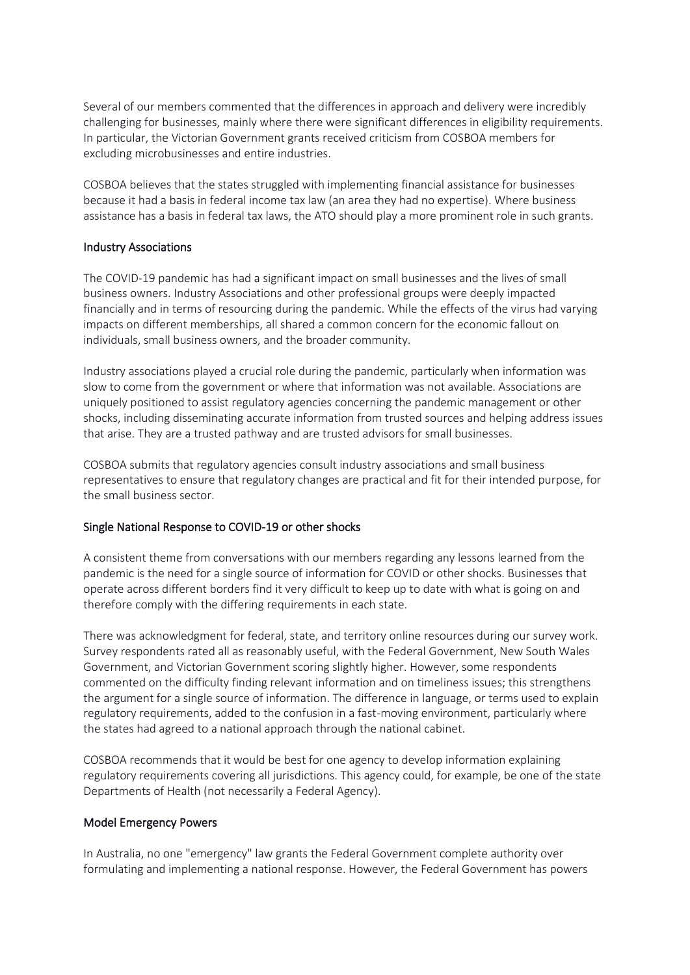Several of our members commented that the differences in approach and delivery were incredibly challenging for businesses, mainly where there were significant differences in eligibility requirements. In particular, the Victorian Government grants received criticism from COSBOA members for excluding microbusinesses and entire industries.

COSBOA believes that the states struggled with implementing financial assistance for businesses because it had a basis in federal income tax law (an area they had no expertise). Where business assistance has a basis in federal tax laws, the ATO should play a more prominent role in such grants.

## Industry Associations

The COVID-19 pandemic has had a significant impact on small businesses and the lives of small business owners. Industry Associations and other professional groups were deeply impacted financially and in terms of resourcing during the pandemic. While the effects of the virus had varying impacts on different memberships, all shared a common concern for the economic fallout on individuals, small business owners, and the broader community.

Industry associations played a crucial role during the pandemic, particularly when information was slow to come from the government or where that information was not available. Associations are uniquely positioned to assist regulatory agencies concerning the pandemic management or other shocks, including disseminating accurate information from trusted sources and helping address issues that arise. They are a trusted pathway and are trusted advisors for small businesses.

COSBOA submits that regulatory agencies consult industry associations and small business representatives to ensure that regulatory changes are practical and fit for their intended purpose, for the small business sector.

### Single National Response to COVID-19 or other shocks

A consistent theme from conversations with our members regarding any lessons learned from the pandemic is the need for a single source of information for COVID or other shocks. Businesses that operate across different borders find it very difficult to keep up to date with what is going on and therefore comply with the differing requirements in each state.

There was acknowledgment for federal, state, and territory online resources during our survey work. Survey respondents rated all as reasonably useful, with the Federal Government, New South Wales Government, and Victorian Government scoring slightly higher. However, some respondents commented on the difficulty finding relevant information and on timeliness issues; this strengthens the argument for a single source of information. The difference in language, or terms used to explain regulatory requirements, added to the confusion in a fast-moving environment, particularly where the states had agreed to a national approach through the national cabinet.

COSBOA recommends that it would be best for one agency to develop information explaining regulatory requirements covering all jurisdictions. This agency could, for example, be one of the state Departments of Health (not necessarily a Federal Agency).

### Model Emergency Powers

In Australia, no one "emergency" law grants the Federal Government complete authority over formulating and implementing a national response. However, the Federal Government has powers